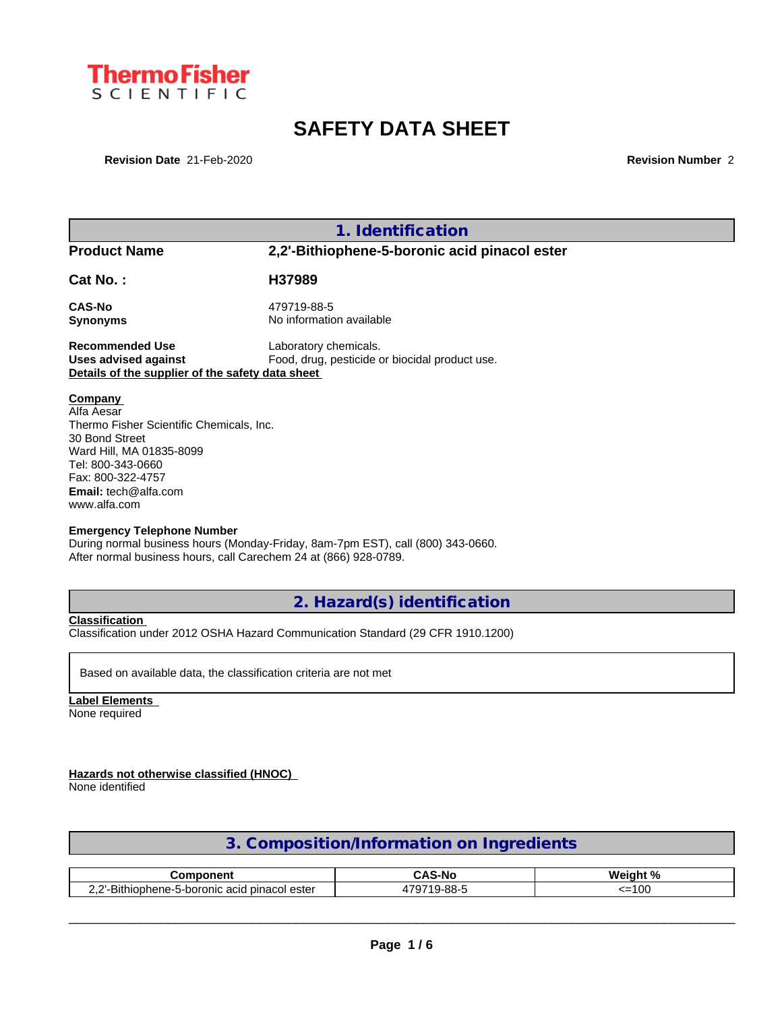

# **SAFETY DATA SHEET**

**Revision Date** 21-Feb-2020 **Revision Number** 2

|                                                                                                                                                                                                                                               | 1. Identification                                                               |
|-----------------------------------------------------------------------------------------------------------------------------------------------------------------------------------------------------------------------------------------------|---------------------------------------------------------------------------------|
| <b>Product Name</b>                                                                                                                                                                                                                           | 2,2'-Bithiophene-5-boronic acid pinacol ester                                   |
| Cat No.:                                                                                                                                                                                                                                      | H37989                                                                          |
| <b>CAS-No</b><br>Synonyms                                                                                                                                                                                                                     | 479719-88-5<br>No information available                                         |
| <b>Recommended Use</b><br><b>Uses advised against</b><br>Details of the supplier of the safety data sheet                                                                                                                                     | Laboratory chemicals.<br>Food, drug, pesticide or biocidal product use.         |
| Company<br>Alfa Aesar<br>Thermo Fisher Scientific Chemicals, Inc.<br>30 Bond Street<br>Ward Hill, MA 01835-8099<br>Tel: 800-343-0660<br>Fax: 800-322-4757<br><b>Email:</b> tech@alfa.com<br>www.alfa.com<br><b>Emergency Telephone Number</b> |                                                                                 |
| After normal business hours, call Carechem 24 at (866) 928-0789.                                                                                                                                                                              | During normal business hours (Monday-Friday, 8am-7pm EST), call (800) 343-0660. |

**2. Hazard(s) identification**

**Classification**

Classification under 2012 OSHA Hazard Communication Standard (29 CFR 1910.1200)

Based on available data, the classification criteria are not met

**Label Elements** None required

**Hazards not otherwise classified (HNOC)**

None identified

| 3. Composition/Information on Ingredients |  |
|-------------------------------------------|--|
|                                           |  |

| .0 <sup>m</sup><br>nponent                                                       | $\sim$<br><b>CAS-No</b>                      | $\bullet$<br>О.<br>Weigh.<br>70 |
|----------------------------------------------------------------------------------|----------------------------------------------|---------------------------------|
| Bithi<br>ester<br>nic acid pinacol<br>-5-boronic<br>ilophene <sup>.</sup><br>--- | ററ<br>-<br>---<br>9-88-<br>,,, <u>,</u><br>. | $\sim$<br>$-$<br>-- -<br>v      |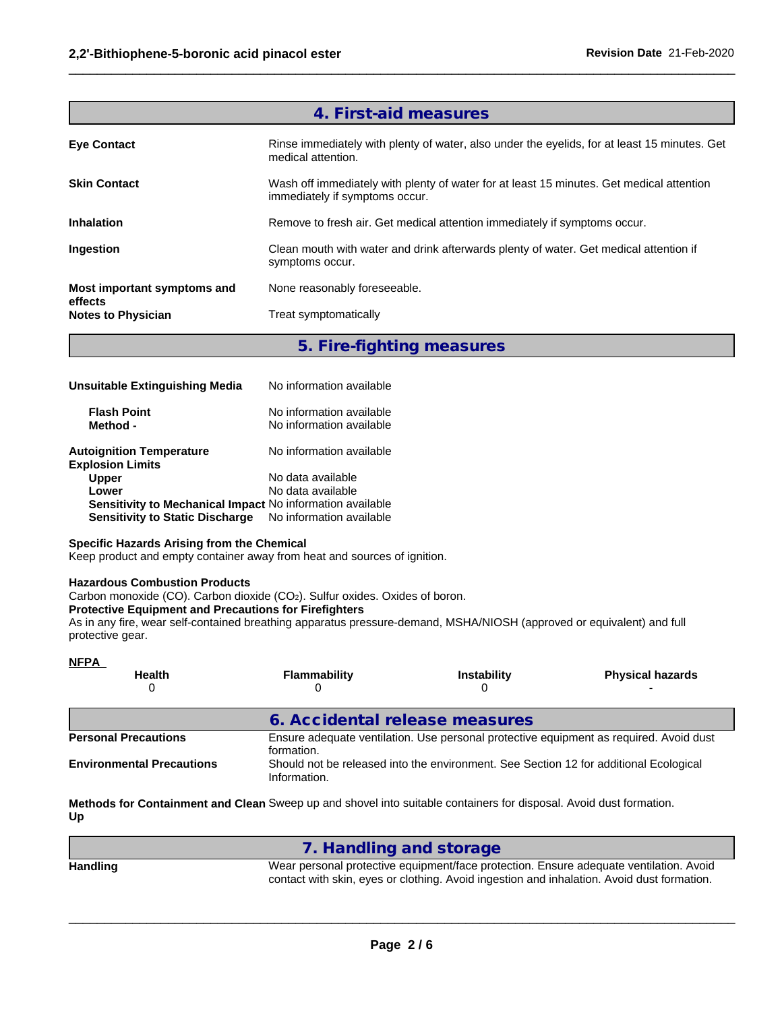|                                      | 4. First-aid measures                                                                                                      |
|--------------------------------------|----------------------------------------------------------------------------------------------------------------------------|
| <b>Eye Contact</b>                   | Rinse immediately with plenty of water, also under the eyelids, for at least 15 minutes. Get<br>medical attention.         |
| <b>Skin Contact</b>                  | Wash off immediately with plenty of water for at least 15 minutes. Get medical attention<br>immediately if symptoms occur. |
| <b>Inhalation</b>                    | Remove to fresh air. Get medical attention immediately if symptoms occur.                                                  |
| Ingestion                            | Clean mouth with water and drink afterwards plenty of water. Get medical attention if<br>symptoms occur.                   |
| Most important symptoms and          | None reasonably foreseeable.                                                                                               |
| effects<br><b>Notes to Physician</b> | Treat symptomatically                                                                                                      |
|                                      |                                                                                                                            |

 $\_$  ,  $\_$  ,  $\_$  ,  $\_$  ,  $\_$  ,  $\_$  ,  $\_$  ,  $\_$  ,  $\_$  ,  $\_$  ,  $\_$  ,  $\_$  ,  $\_$  ,  $\_$  ,  $\_$  ,  $\_$  ,  $\_$  ,  $\_$  ,  $\_$  ,  $\_$  ,  $\_$  ,  $\_$  ,  $\_$  ,  $\_$  ,  $\_$  ,  $\_$  ,  $\_$  ,  $\_$  ,  $\_$  ,  $\_$  ,  $\_$  ,  $\_$  ,  $\_$  ,  $\_$  ,  $\_$  ,  $\_$  ,  $\_$  ,

**5. Fire-fighting measures**

| Unsuitable Extinguishing Media                             | No information available                             |
|------------------------------------------------------------|------------------------------------------------------|
| <b>Flash Point</b><br>Method -                             | No information available<br>No information available |
| <b>Autoignition Temperature</b><br><b>Explosion Limits</b> | No information available                             |
| <b>Upper</b>                                               | No data available                                    |
| Lower                                                      | No data available                                    |
| Sensitivity to Mechanical Impact No information available  |                                                      |
| <b>Sensitivity to Static Discharge</b>                     | No information available                             |

## **Specific Hazards Arising from the Chemical**

Keep product and empty container away from heat and sources of ignition.

#### **Hazardous Combustion Products**

Carbon monoxide (CO). Carbon dioxide (CO<sub>2</sub>). Sulfur oxides. Oxides of boron.

#### **Protective Equipment and Precautions for Firefighters**

As in any fire, wear self-contained breathing apparatus pressure-demand, MSHA/NIOSH (approved or equivalent) and full protective gear.

| <u>NFPA</u>                      |                                |                                                                                       |                                                                                        |
|----------------------------------|--------------------------------|---------------------------------------------------------------------------------------|----------------------------------------------------------------------------------------|
| <b>Health</b>                    | Flammability                   | <b>Instability</b>                                                                    | <b>Physical hazards</b>                                                                |
|                                  | 6. Accidental release measures |                                                                                       |                                                                                        |
| <b>Personal Precautions</b>      | formation.                     |                                                                                       | Ensure adequate ventilation. Use personal protective equipment as required. Avoid dust |
| <b>Environmental Precautions</b> | Information.                   | Should not be released into the environment. See Section 12 for additional Ecological |                                                                                        |

**Methods for Containment and Clean** Sweep up and shovel into suitable containers for disposal. Avoid dust formation. **Up**

|                 | 7. Handling and storage                                                                                                                                                              |
|-----------------|--------------------------------------------------------------------------------------------------------------------------------------------------------------------------------------|
| <b>Handling</b> | Wear personal protective equipment/face protection. Ensure adequate ventilation. Avoid<br>contact with skin, eyes or clothing. Avoid ingestion and inhalation. Avoid dust formation. |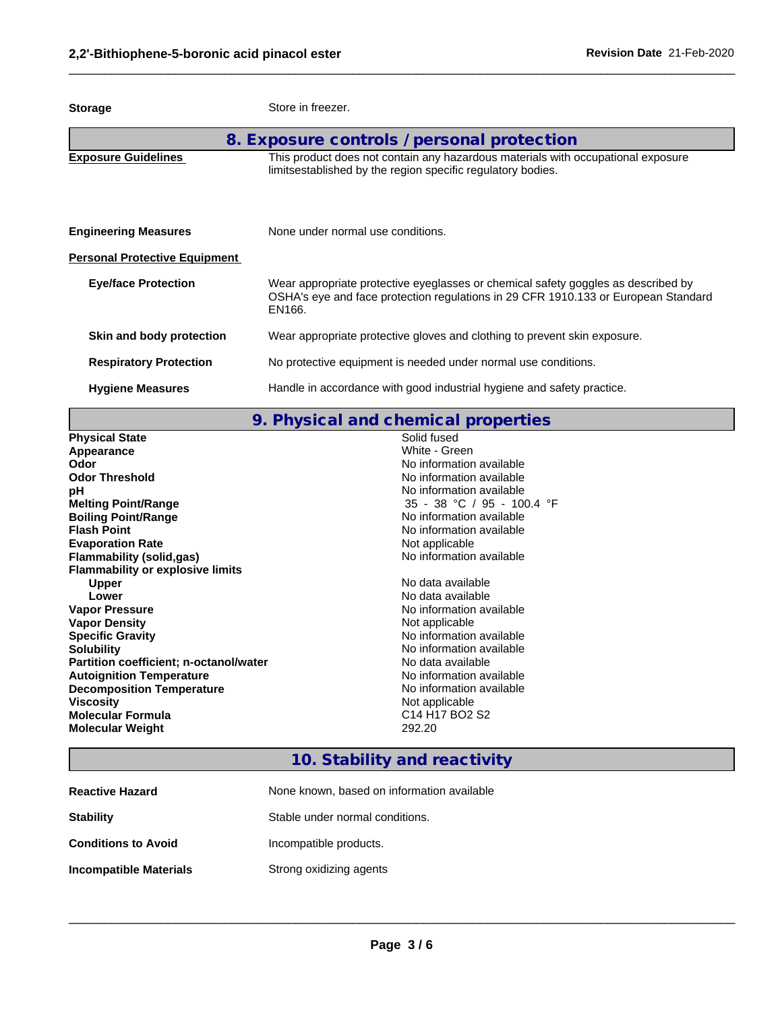| <b>Storage</b>                       | Store in freezer.                                                                                                                                                                 |
|--------------------------------------|-----------------------------------------------------------------------------------------------------------------------------------------------------------------------------------|
|                                      | 8. Exposure controls / personal protection                                                                                                                                        |
| <b>Exposure Guidelines</b>           | This product does not contain any hazardous materials with occupational exposure<br>limitsestablished by the region specific regulatory bodies.                                   |
| <b>Engineering Measures</b>          | None under normal use conditions.                                                                                                                                                 |
| <b>Personal Protective Equipment</b> |                                                                                                                                                                                   |
| <b>Eye/face Protection</b>           | Wear appropriate protective eyeglasses or chemical safety goggles as described by<br>OSHA's eye and face protection regulations in 29 CFR 1910.133 or European Standard<br>EN166. |
| Skin and body protection             | Wear appropriate protective gloves and clothing to prevent skin exposure.                                                                                                         |
| <b>Respiratory Protection</b>        | No protective equipment is needed under normal use conditions.                                                                                                                    |
| <b>Hygiene Measures</b>              | Handle in accordance with good industrial hygiene and safety practice.                                                                                                            |

 $\_$  ,  $\_$  ,  $\_$  ,  $\_$  ,  $\_$  ,  $\_$  ,  $\_$  ,  $\_$  ,  $\_$  ,  $\_$  ,  $\_$  ,  $\_$  ,  $\_$  ,  $\_$  ,  $\_$  ,  $\_$  ,  $\_$  ,  $\_$  ,  $\_$  ,  $\_$  ,  $\_$  ,  $\_$  ,  $\_$  ,  $\_$  ,  $\_$  ,  $\_$  ,  $\_$  ,  $\_$  ,  $\_$  ,  $\_$  ,  $\_$  ,  $\_$  ,  $\_$  ,  $\_$  ,  $\_$  ,  $\_$  ,  $\_$  ,

**9. Physical and chemical properties**

| <b>Physical State</b>                   | Solid fused                                                    |
|-----------------------------------------|----------------------------------------------------------------|
| Appearance                              | White - Green                                                  |
| <b>Odor</b>                             | No information available                                       |
| <b>Odor Threshold</b>                   | No information available                                       |
| рH                                      | No information available                                       |
| <b>Melting Point/Range</b>              | 35 - 38 °C / 95 - 100.4 °F                                     |
| <b>Boiling Point/Range</b>              | No information available                                       |
| <b>Flash Point</b>                      | No information available                                       |
| <b>Evaporation Rate</b>                 | Not applicable                                                 |
| <b>Flammability (solid,gas)</b>         | No information available                                       |
| <b>Flammability or explosive limits</b> |                                                                |
| <b>Upper</b>                            | No data available                                              |
| Lower                                   | No data available                                              |
| <b>Vapor Pressure</b>                   | No information available                                       |
| <b>Vapor Density</b>                    | Not applicable                                                 |
| <b>Specific Gravity</b>                 | No information available                                       |
| <b>Solubility</b>                       | No information available                                       |
| Partition coefficient; n-octanol/water  | No data available                                              |
| <b>Autoignition Temperature</b>         | No information available                                       |
| <b>Decomposition Temperature</b>        | No information available                                       |
| <b>Viscosity</b>                        | Not applicable                                                 |
| <b>Molecular Formula</b>                | C <sub>14</sub> H <sub>17</sub> B <sub>O2</sub> S <sub>2</sub> |
| <b>Molecular Weight</b>                 | 292.20                                                         |
|                                         |                                                                |

# **10. Stability and reactivity**

| <b>Reactive Hazard</b>        | None known, based on information available |
|-------------------------------|--------------------------------------------|
| <b>Stability</b>              | Stable under normal conditions.            |
| <b>Conditions to Avoid</b>    | Incompatible products.                     |
| <b>Incompatible Materials</b> | Strong oxidizing agents                    |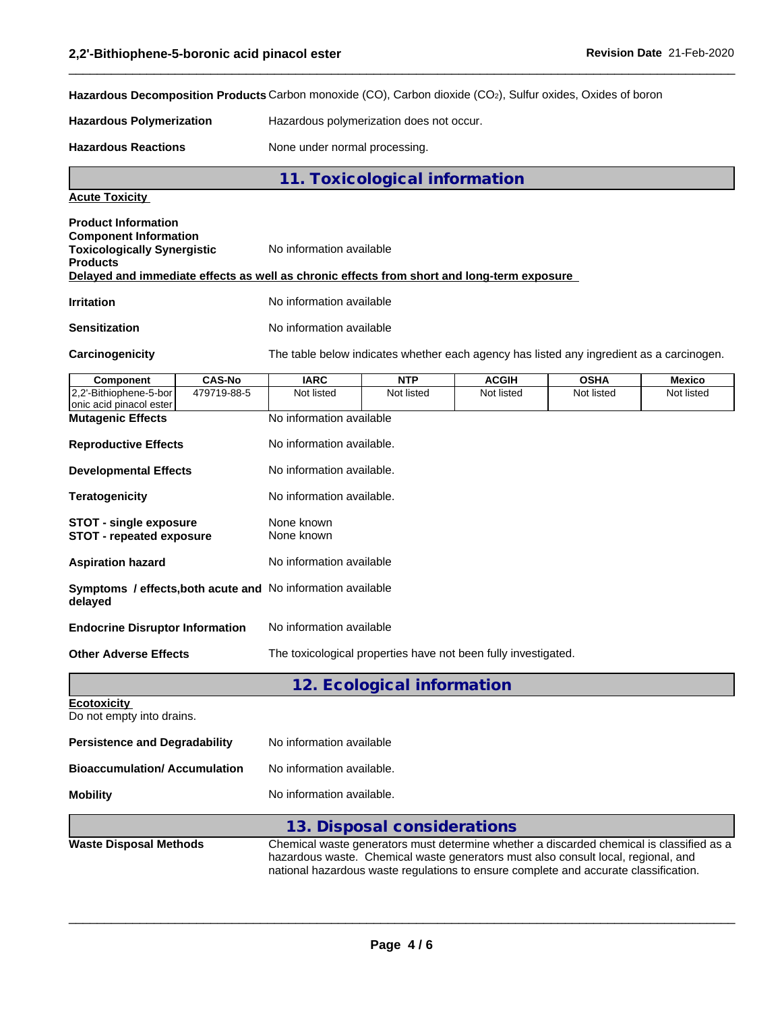**Hazardous Decomposition Products** Carbon monoxide (CO), Carbon dioxide (CO2), Sulfur oxides, Oxides of boron

**Hazardous Polymerization** Hazardous polymerization does not occur.

Hazardous Reactions **None under normal processing**.

**11. Toxicological information**

### **Acute Toxicity**

| <b>Product Information</b><br><b>Component Information</b><br><b>Toxicologically Synergistic</b> | No information available                                                                   |
|--------------------------------------------------------------------------------------------------|--------------------------------------------------------------------------------------------|
| <b>Products</b>                                                                                  | Delayed and immediate effects as well as chronic effects from short and long-term exposure |
| <b>Irritation</b>                                                                                | No information available                                                                   |
| <b>Sensitization</b>                                                                             | No information available                                                                   |

**Carcinogenicity** The table below indicateswhether each agency has listed any ingredient as a carcinogen.

 $\_$  ,  $\_$  ,  $\_$  ,  $\_$  ,  $\_$  ,  $\_$  ,  $\_$  ,  $\_$  ,  $\_$  ,  $\_$  ,  $\_$  ,  $\_$  ,  $\_$  ,  $\_$  ,  $\_$  ,  $\_$  ,  $\_$  ,  $\_$  ,  $\_$  ,  $\_$  ,  $\_$  ,  $\_$  ,  $\_$  ,  $\_$  ,  $\_$  ,  $\_$  ,  $\_$  ,  $\_$  ,  $\_$  ,  $\_$  ,  $\_$  ,  $\_$  ,  $\_$  ,  $\_$  ,  $\_$  ,  $\_$  ,  $\_$  ,

| Component                                                 | <b>CAS-No</b> | <b>IARC</b>                                                                                                                                                                                                                                                           | <b>NTP</b>                  | <b>ACGIH</b> | <b>OSHA</b> | <b>Mexico</b> |  |  |
|-----------------------------------------------------------|---------------|-----------------------------------------------------------------------------------------------------------------------------------------------------------------------------------------------------------------------------------------------------------------------|-----------------------------|--------------|-------------|---------------|--|--|
| 2,2'-Bithiophene-5-bor<br>onic acid pinacol ester         | 479719-88-5   | Not listed                                                                                                                                                                                                                                                            | Not listed                  | Not listed   | Not listed  | Not listed    |  |  |
| <b>Mutagenic Effects</b>                                  |               | No information available                                                                                                                                                                                                                                              |                             |              |             |               |  |  |
| <b>Reproductive Effects</b>                               |               | No information available.                                                                                                                                                                                                                                             |                             |              |             |               |  |  |
| <b>Developmental Effects</b>                              |               | No information available.                                                                                                                                                                                                                                             |                             |              |             |               |  |  |
| <b>Teratogenicity</b>                                     |               | No information available.                                                                                                                                                                                                                                             |                             |              |             |               |  |  |
| <b>STOT - single exposure</b><br>STOT - repeated exposure |               | None known<br>None known                                                                                                                                                                                                                                              |                             |              |             |               |  |  |
| <b>Aspiration hazard</b>                                  |               | No information available                                                                                                                                                                                                                                              |                             |              |             |               |  |  |
| delayed                                                   |               | Symptoms / effects, both acute and No information available                                                                                                                                                                                                           |                             |              |             |               |  |  |
| <b>Endocrine Disruptor Information</b>                    |               | No information available                                                                                                                                                                                                                                              |                             |              |             |               |  |  |
| <b>Other Adverse Effects</b>                              |               | The toxicological properties have not been fully investigated.                                                                                                                                                                                                        |                             |              |             |               |  |  |
|                                                           |               |                                                                                                                                                                                                                                                                       | 12. Ecological information  |              |             |               |  |  |
| <b>Ecotoxicity</b><br>Do not empty into drains.           |               |                                                                                                                                                                                                                                                                       |                             |              |             |               |  |  |
| <b>Persistence and Degradability</b>                      |               | No information available                                                                                                                                                                                                                                              |                             |              |             |               |  |  |
| <b>Bioaccumulation/Accumulation</b>                       |               | No information available.                                                                                                                                                                                                                                             |                             |              |             |               |  |  |
| <b>Mobility</b>                                           |               | No information available.                                                                                                                                                                                                                                             |                             |              |             |               |  |  |
|                                                           |               |                                                                                                                                                                                                                                                                       | 13. Disposal considerations |              |             |               |  |  |
| <b>Waste Disposal Methods</b>                             |               | Chemical waste generators must determine whether a discarded chemical is classified as a<br>hazardous waste. Chemical waste generators must also consult local, regional, and<br>national hazardous waste regulations to ensure complete and accurate classification. |                             |              |             |               |  |  |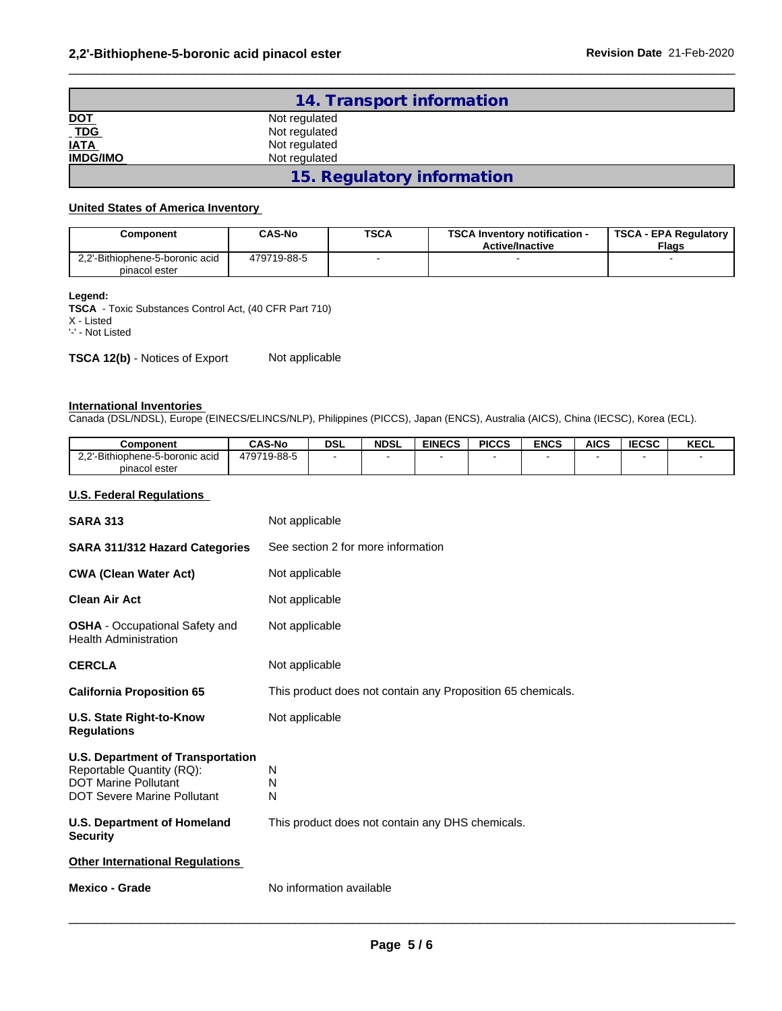| 14. Transport information      |                            |  |  |  |
|--------------------------------|----------------------------|--|--|--|
| DOT<br>TDG<br>IATA<br>IMDG/IMO | Not regulated              |  |  |  |
|                                | Not regulated              |  |  |  |
|                                | Not regulated              |  |  |  |
|                                | Not regulated              |  |  |  |
|                                | 15. Regulatory information |  |  |  |

 $\_$  ,  $\_$  ,  $\_$  ,  $\_$  ,  $\_$  ,  $\_$  ,  $\_$  ,  $\_$  ,  $\_$  ,  $\_$  ,  $\_$  ,  $\_$  ,  $\_$  ,  $\_$  ,  $\_$  ,  $\_$  ,  $\_$  ,  $\_$  ,  $\_$  ,  $\_$  ,  $\_$  ,  $\_$  ,  $\_$  ,  $\_$  ,  $\_$  ,  $\_$  ,  $\_$  ,  $\_$  ,  $\_$  ,  $\_$  ,  $\_$  ,  $\_$  ,  $\_$  ,  $\_$  ,  $\_$  ,  $\_$  ,  $\_$  ,

#### **United States of America Inventory**

| Component                                        | <b>CAS-No</b> | <b>TSCA</b> | <b>TSCA Inventory notification -</b><br><b>Active/Inactive</b> | <b>TSCA - EPA Regulatory</b><br><b>Flags</b> |
|--------------------------------------------------|---------------|-------------|----------------------------------------------------------------|----------------------------------------------|
| 2.2'-Bithiophene-5-boronic acid<br>pinacol ester | 479719-88-5   |             |                                                                |                                              |

### **Legend:**

**TSCA** - Toxic Substances Control Act, (40 CFR Part 710) X - Listed '-' - Not Listed

**TSCA 12(b)** - Notices of Export Not applicable

#### **International Inventories**

Canada (DSL/NDSL), Europe (EINECS/ELINCS/NLP), Philippines (PICCS), Japan (ENCS), Australia (AICS), China (IECSC), Korea (ECL).

| Component                       | <b>CAS-No</b> | <b>DSL</b> | <b>NDSL</b> | <b>EINECS</b> | <b>PICCS</b> | <b>ENCS</b> | <b>AICS</b> | <b>IECSC</b> | KECL |
|---------------------------------|---------------|------------|-------------|---------------|--------------|-------------|-------------|--------------|------|
| 2.2'-Bithiophene-5-boronic acid | 479719-88-5   |            |             |               |              |             |             |              |      |
| pinacol ester                   |               |            |             |               |              |             |             |              |      |

#### **U.S. Federal Regulations**

| <b>SARA 313</b>                                                                                                                            | Not applicable                                              |
|--------------------------------------------------------------------------------------------------------------------------------------------|-------------------------------------------------------------|
| <b>SARA 311/312 Hazard Categories</b>                                                                                                      | See section 2 for more information                          |
| <b>CWA (Clean Water Act)</b>                                                                                                               | Not applicable                                              |
| <b>Clean Air Act</b>                                                                                                                       | Not applicable                                              |
| <b>OSHA</b> - Occupational Safety and<br><b>Health Administration</b>                                                                      | Not applicable                                              |
| <b>CERCLA</b>                                                                                                                              | Not applicable                                              |
| <b>California Proposition 65</b>                                                                                                           | This product does not contain any Proposition 65 chemicals. |
| U.S. State Right-to-Know<br><b>Regulations</b>                                                                                             | Not applicable                                              |
| <b>U.S. Department of Transportation</b><br>Reportable Quantity (RQ):<br><b>DOT Marine Pollutant</b><br><b>DOT Severe Marine Pollutant</b> | N<br>N<br>N                                                 |
| U.S. Department of Homeland<br><b>Security</b>                                                                                             | This product does not contain any DHS chemicals.            |
|                                                                                                                                            |                                                             |
| <b>Other International Regulations</b>                                                                                                     |                                                             |